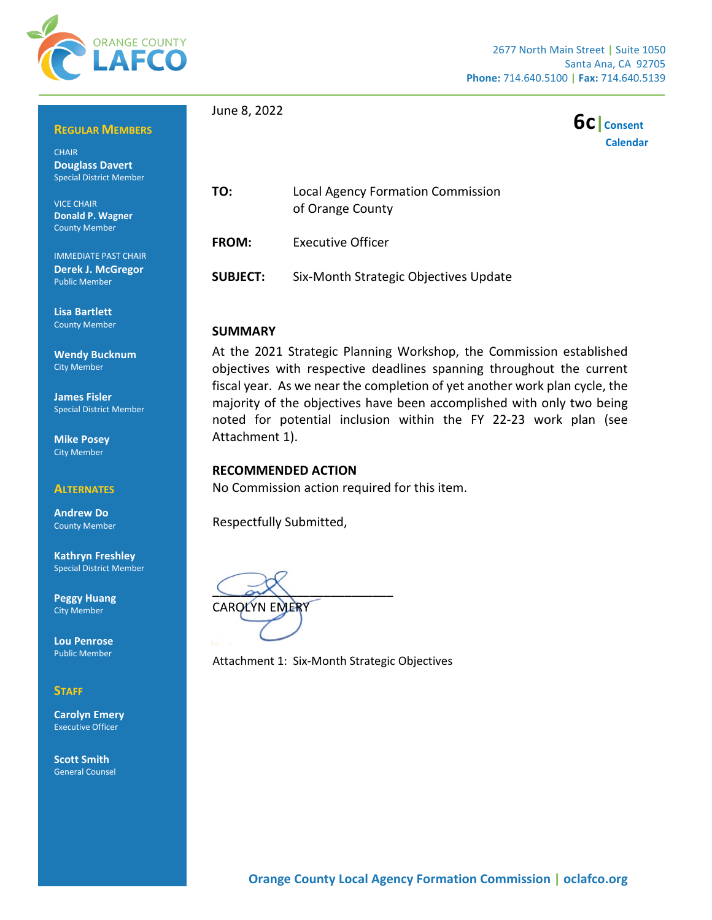

## **REGULAR MEMBERS**

**CHAIR Douglass Davert**  Special District Member

VICE CHAIR **Donald P. Wagner** County Member

IMMEDIATE PAST CHAIR **Derek J. McGregor** Public Member

**Lisa Bartlett** County Member

**Wendy Bucknum** City Member

**James Fisler** Special District Member

**Mike Posey** City Member

#### **ALTERNATES**

**Andrew Do** County Member

**Kathryn Freshley** Special District Member

**Peggy Huang** City Member

**Lou Penrose** Public Member

### **STAFF**

**Carolyn Emery** Executive Officer

**Scott Smith** General Counsel June 8, 2022



**TO:** Local Agency Formation Commission of Orange County

**FROM:** Executive Officer

**SUBJECT:** Six-Month Strategic Objectives Update

#### **SUMMARY**

At the 2021 Strategic Planning Workshop, the Commission established objectives with respective deadlines spanning throughout the current fiscal year. As we near the completion of yet another work plan cycle, the majority of the objectives have been accomplished with only two being noted for potential inclusion within the FY 22-23 work plan (see Attachment 1).

#### **RECOMMENDED ACTION**

No Commission action required for this item.

Respectfully Submitted,

 $\bigcup_{\alpha\in\mathcal{N}}\bigwedge$ CAROLYN EMERY

Attachment 1: Six-Month Strategic Objectives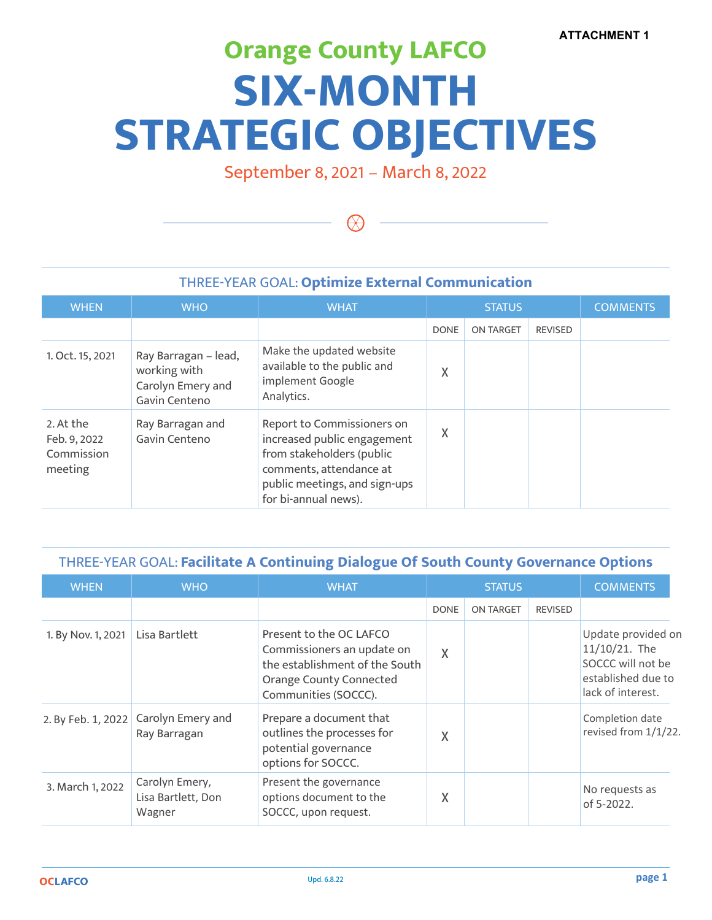# **Orange County LAFCO SIX-MONTH STRATEGIC OBJECTIVES**

September 8, 2021 – March 8, 2022

 $\Theta$ 

## THREE-YEAR GOAL: **Optimize External Communication**

| <b>WHEN</b>                                        | <b>WHO</b>                                                                 | <b>WHAT</b>                                                                                                                                                                | <b>STATUS</b> |                  | <b>COMMENTS</b> |  |
|----------------------------------------------------|----------------------------------------------------------------------------|----------------------------------------------------------------------------------------------------------------------------------------------------------------------------|---------------|------------------|-----------------|--|
|                                                    |                                                                            |                                                                                                                                                                            | <b>DONE</b>   | <b>ON TARGET</b> | <b>REVISED</b>  |  |
| 1. Oct. 15, 2021                                   | Ray Barragan - lead,<br>working with<br>Carolyn Emery and<br>Gavin Centeno | Make the updated website<br>available to the public and<br>implement Google<br>Analytics.                                                                                  | X             |                  |                 |  |
| 2. At the<br>Feb. 9, 2022<br>Commission<br>meeting | Ray Barragan and<br>Gavin Centeno                                          | Report to Commissioners on<br>increased public engagement<br>from stakeholders (public<br>comments, attendance at<br>public meetings, and sign-ups<br>for bi-annual news). | Χ             |                  |                 |  |

## THREE-YEAR GOAL: **Facilitate A Continuing Dialogue Of South County Governance Options**

| <b>WHEN</b>        | <b>WHO</b>                                     | <b>WHAT</b>                                                                                                                                       | <b>STATUS</b> |                  | <b>COMMENTS</b> |                                                                                                     |
|--------------------|------------------------------------------------|---------------------------------------------------------------------------------------------------------------------------------------------------|---------------|------------------|-----------------|-----------------------------------------------------------------------------------------------------|
|                    |                                                |                                                                                                                                                   | <b>DONE</b>   | <b>ON TARGET</b> | <b>REVISED</b>  |                                                                                                     |
| 1. By Nov. 1, 2021 | Lisa Bartlett                                  | Present to the OC LAFCO<br>Commissioners an update on<br>the establishment of the South<br><b>Orange County Connected</b><br>Communities (SOCCC). | X             |                  |                 | Update provided on<br>11/10/21. The<br>SOCCC will not be<br>established due to<br>lack of interest. |
| 2. By Feb. 1, 2022 | Carolyn Emery and<br>Ray Barragan              | Prepare a document that<br>outlines the processes for<br>potential governance<br>options for SOCCC.                                               | Χ             |                  |                 | Completion date<br>revised from 1/1/22.                                                             |
| 3. March 1, 2022   | Carolyn Emery,<br>Lisa Bartlett, Don<br>Wagner | Present the governance<br>options document to the<br>SOCCC, upon request.                                                                         | X             |                  |                 | No requests as<br>of 5-2022.                                                                        |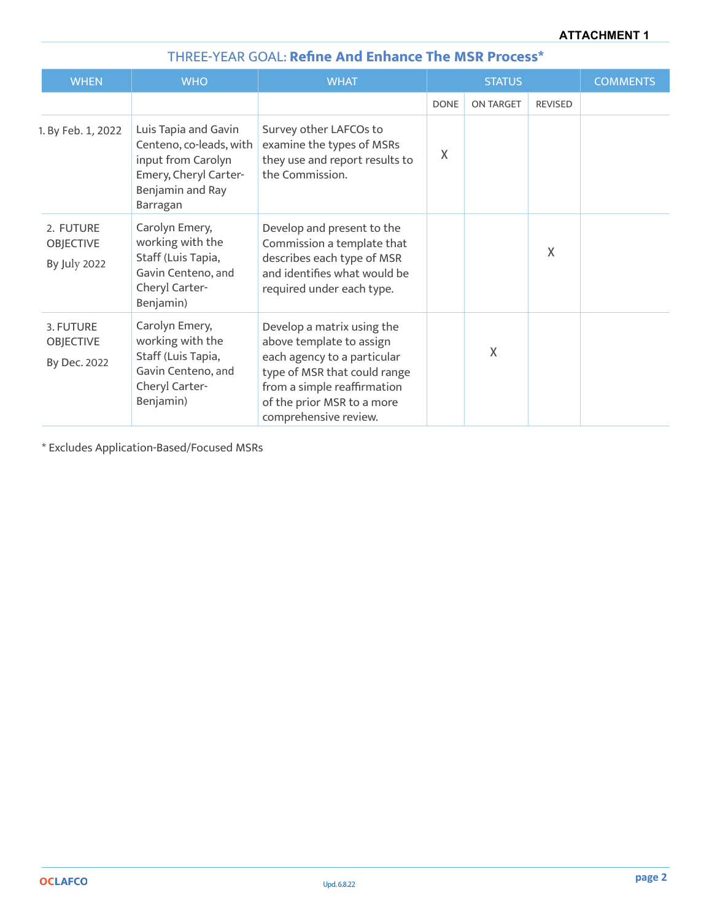| THREE-TEAR GOAL: Refine And Ennance The MSR Process  |                                                                                                                                |                                                                                                                                                                                                             |               |                  |                 |  |
|------------------------------------------------------|--------------------------------------------------------------------------------------------------------------------------------|-------------------------------------------------------------------------------------------------------------------------------------------------------------------------------------------------------------|---------------|------------------|-----------------|--|
| <b>WHEN</b>                                          | <b>WHO</b>                                                                                                                     | <b>WHAT</b>                                                                                                                                                                                                 | <b>STATUS</b> |                  | <b>COMMENTS</b> |  |
|                                                      |                                                                                                                                |                                                                                                                                                                                                             | <b>DONE</b>   | <b>ON TARGET</b> | <b>REVISED</b>  |  |
| 1. By Feb. 1, 2022                                   | Luis Tapia and Gavin<br>Centeno, co-leads, with<br>input from Carolyn<br>Emery, Cheryl Carter-<br>Benjamin and Ray<br>Barragan | Survey other LAFCOs to<br>examine the types of MSRs<br>they use and report results to<br>the Commission.                                                                                                    | Χ             |                  |                 |  |
| 2. FUTURE<br><b>OBJECTIVE</b><br><b>By July 2022</b> | Carolyn Emery,<br>working with the<br>Staff (Luis Tapia,<br>Gavin Centeno, and<br>Cheryl Carter-<br>Benjamin)                  | Develop and present to the<br>Commission a template that<br>describes each type of MSR<br>and identifies what would be<br>required under each type.                                                         |               |                  | $\chi$          |  |
| 3. FUTURE<br><b>OBJECTIVE</b><br>By Dec. 2022        | Carolyn Emery,<br>working with the<br>Staff (Luis Tapia,<br>Gavin Centeno, and<br>Cheryl Carter-<br>Benjamin)                  | Develop a matrix using the<br>above template to assign<br>each agency to a particular<br>type of MSR that could range<br>from a simple reaffirmation<br>of the prior MSR to a more<br>comprehensive review. |               | X                |                 |  |

## THREE-YEAR GOAL: **Refine And Enhance The MSR Process\***

\* Excludes Application-Based/Focused MSRs